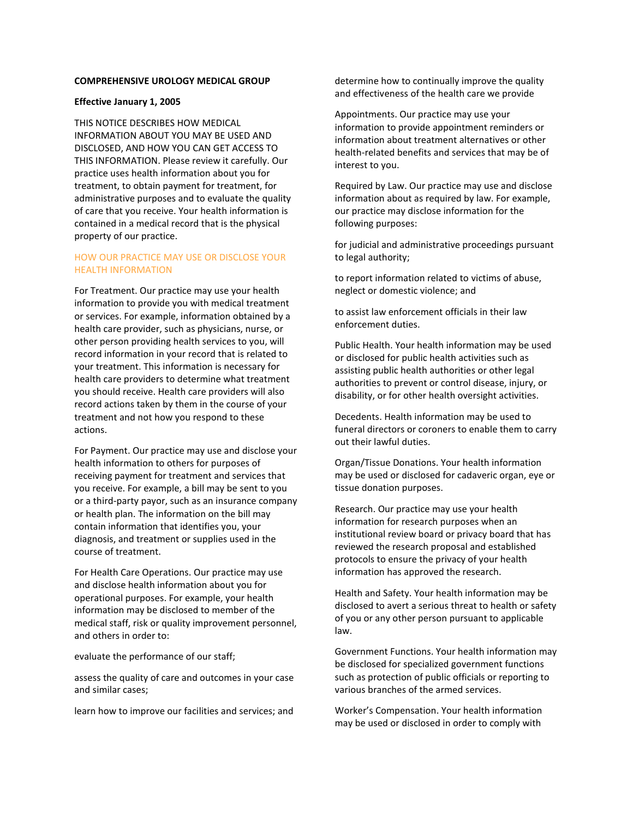## **COMPREHENSIVE UROLOGY MEDICAL GROUP**

### **Effective January 1, 2005**

THIS NOTICE DESCRIBES HOW MEDICAL INFORMATION ABOUT YOU MAY BE USED AND DISCLOSED, AND HOW YOU CAN GET ACCESS TO THIS INFORMATION. Please review it carefully. Our practice uses health information about you for treatment, to obtain payment for treatment, for administrative purposes and to evaluate the quality of care that you receive. Your health information is contained in a medical record that is the physical property of our practice.

# HOW OUR PRACTICE MAY USE OR DISCLOSE YOUR HEALTH INFORMATION

For Treatment. Our practice may use your health information to provide you with medical treatment or services. For example, information obtained by a health care provider, such as physicians, nurse, or other person providing health services to you, will record information in your record that is related to your treatment. This information is necessary for health care providers to determine what treatment you should receive. Health care providers will also record actions taken by them in the course of your treatment and not how you respond to these actions.

For Payment. Our practice may use and disclose your health information to others for purposes of receiving payment for treatment and services that you receive. For example, a bill may be sent to you or a third-party payor, such as an insurance company or health plan. The information on the bill may contain information that identifies you, your diagnosis, and treatment or supplies used in the course of treatment.

For Health Care Operations. Our practice may use and disclose health information about you for operational purposes. For example, your health information may be disclosed to member of the medical staff, risk or quality improvement personnel, and others in order to:

evaluate the performance of our staff;

assess the quality of care and outcomes in your case and similar cases;

learn how to improve our facilities and services; and

determine how to continually improve the quality and effectiveness of the health care we provide

Appointments. Our practice may use your information to provide appointment reminders or information about treatment alternatives or other health-related benefits and services that may be of interest to you.

Required by Law. Our practice may use and disclose information about as required by law. For example, our practice may disclose information for the following purposes:

for judicial and administrative proceedings pursuant to legal authority;

to report information related to victims of abuse, neglect or domestic violence; and

to assist law enforcement officials in their law enforcement duties.

Public Health. Your health information may be used or disclosed for public health activities such as assisting public health authorities or other legal authorities to prevent or control disease, injury, or disability, or for other health oversight activities.

Decedents. Health information may be used to funeral directors or coroners to enable them to carry out their lawful duties.

Organ/Tissue Donations. Your health information may be used or disclosed for cadaveric organ, eye or tissue donation purposes.

Research. Our practice may use your health information for research purposes when an institutional review board or privacy board that has reviewed the research proposal and established protocols to ensure the privacy of your health information has approved the research.

Health and Safety. Your health information may be disclosed to avert a serious threat to health or safety of you or any other person pursuant to applicable law.

Government Functions. Your health information may be disclosed for specialized government functions such as protection of public officials or reporting to various branches of the armed services.

Worker's Compensation. Your health information may be used or disclosed in order to comply with